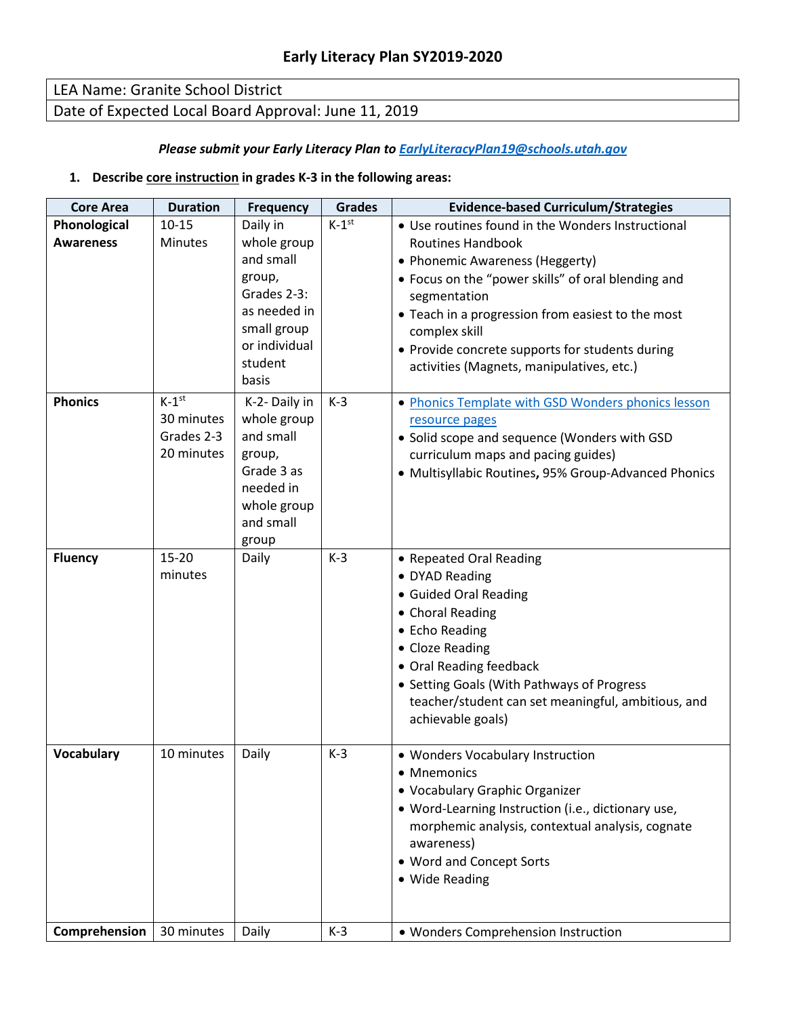## LEA Name: Granite School District Date of Expected Local Board Approval: June 11, 2019

#### *Please submit your Early Literacy Plan to [EarlyLiteracyPlan19@schools.utah.gov](mailto:EarlyLiteracyPlan19@schools.utah.gov)*

#### **1. Describe core instruction in grades K-3 in the following areas:**

| <b>Core Area</b>  | <b>Duration</b>                                      | <b>Frequency</b>                                                                                                      | <b>Grades</b> | <b>Evidence-based Curriculum/Strategies</b>                                                                                                                                                                                                                                                             |  |
|-------------------|------------------------------------------------------|-----------------------------------------------------------------------------------------------------------------------|---------------|---------------------------------------------------------------------------------------------------------------------------------------------------------------------------------------------------------------------------------------------------------------------------------------------------------|--|
| Phonological      | $10 - 15$                                            | Daily in                                                                                                              | $K-1^{st}$    | • Use routines found in the Wonders Instructional                                                                                                                                                                                                                                                       |  |
| <b>Awareness</b>  | Minutes                                              | whole group<br>and small<br>group,<br>Grades 2-3:<br>as needed in<br>small group<br>or individual<br>student<br>basis |               | <b>Routines Handbook</b><br>• Phonemic Awareness (Heggerty)<br>• Focus on the "power skills" of oral blending and<br>segmentation<br>• Teach in a progression from easiest to the most<br>complex skill<br>• Provide concrete supports for students during<br>activities (Magnets, manipulatives, etc.) |  |
| <b>Phonics</b>    | $K-1^{st}$<br>30 minutes<br>Grades 2-3<br>20 minutes | K-2- Daily in<br>whole group<br>and small<br>group,<br>Grade 3 as<br>needed in<br>whole group<br>and small<br>group   | $K-3$         | • Phonics Template with GSD Wonders phonics lesson<br>resource pages<br>• Solid scope and sequence (Wonders with GSD<br>curriculum maps and pacing guides)<br>· Multisyllabic Routines, 95% Group-Advanced Phonics                                                                                      |  |
| <b>Fluency</b>    | $15 - 20$<br>minutes                                 | Daily                                                                                                                 | $K-3$         | • Repeated Oral Reading<br>• DYAD Reading<br>• Guided Oral Reading<br>• Choral Reading<br>• Echo Reading<br>• Cloze Reading<br>• Oral Reading feedback<br>• Setting Goals (With Pathways of Progress<br>teacher/student can set meaningful, ambitious, and<br>achievable goals)                         |  |
| <b>Vocabulary</b> | 10 minutes                                           | Daily                                                                                                                 | $K-3$         | • Wonders Vocabulary Instruction<br>Mnemonics<br>• Vocabulary Graphic Organizer<br>• Word-Learning Instruction (i.e., dictionary use,<br>morphemic analysis, contextual analysis, cognate<br>awareness)<br>• Word and Concept Sorts<br>• Wide Reading                                                   |  |
| Comprehension     | 30 minutes                                           | Daily                                                                                                                 | $K-3$         | • Wonders Comprehension Instruction                                                                                                                                                                                                                                                                     |  |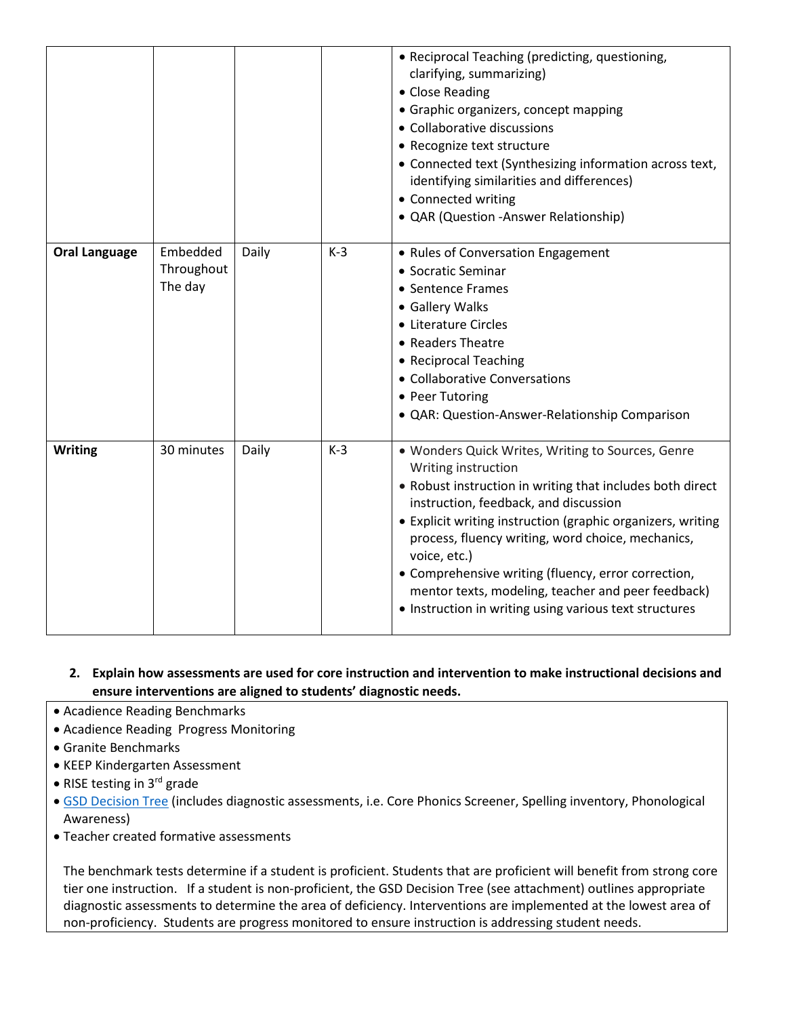|                      |                                   |       |       | • Reciprocal Teaching (predicting, questioning,<br>clarifying, summarizing)<br>• Close Reading<br>• Graphic organizers, concept mapping<br>• Collaborative discussions<br>• Recognize text structure<br>• Connected text (Synthesizing information across text,<br>identifying similarities and differences)<br>• Connected writing<br>• QAR (Question -Answer Relationship)                                                                                                              |
|----------------------|-----------------------------------|-------|-------|-------------------------------------------------------------------------------------------------------------------------------------------------------------------------------------------------------------------------------------------------------------------------------------------------------------------------------------------------------------------------------------------------------------------------------------------------------------------------------------------|
| <b>Oral Language</b> | Embedded<br>Throughout<br>The day | Daily | $K-3$ | • Rules of Conversation Engagement<br>• Socratic Seminar<br>• Sentence Frames<br>• Gallery Walks<br>• Literature Circles<br>• Readers Theatre<br>• Reciprocal Teaching<br>• Collaborative Conversations<br>• Peer Tutoring<br>· QAR: Question-Answer-Relationship Comparison                                                                                                                                                                                                              |
| <b>Writing</b>       | 30 minutes                        | Daily | $K-3$ | . Wonders Quick Writes, Writing to Sources, Genre<br>Writing instruction<br>• Robust instruction in writing that includes both direct<br>instruction, feedback, and discussion<br>• Explicit writing instruction (graphic organizers, writing<br>process, fluency writing, word choice, mechanics,<br>voice, etc.)<br>• Comprehensive writing (fluency, error correction,<br>mentor texts, modeling, teacher and peer feedback)<br>• Instruction in writing using various text structures |

#### **2. Explain how assessments are used for core instruction and intervention to make instructional decisions and ensure interventions are aligned to students' diagnostic needs.**

- Acadience Reading Benchmarks
- Acadience Reading Progress Monitoring
- Granite Benchmarks
- KEEP Kindergarten Assessment
- RISE testing in 3rd grade
- GSD Decision Tree (includes diagnostic assessments, i.e. Core Phonics Screener, Spelling inventory, Phonological Awareness)
- Teacher created formative assessments

The benchmark tests determine if a student is proficient. Students that are proficient will benefit from strong core tier one instruction. If a student is non-proficient, the GSD Decision Tree (see attachment) outlines appropriate diagnostic assessments to determine the area of deficiency. Interventions are implemented at the lowest area of non-proficiency. Students are progress monitored to ensure instruction is addressing student needs.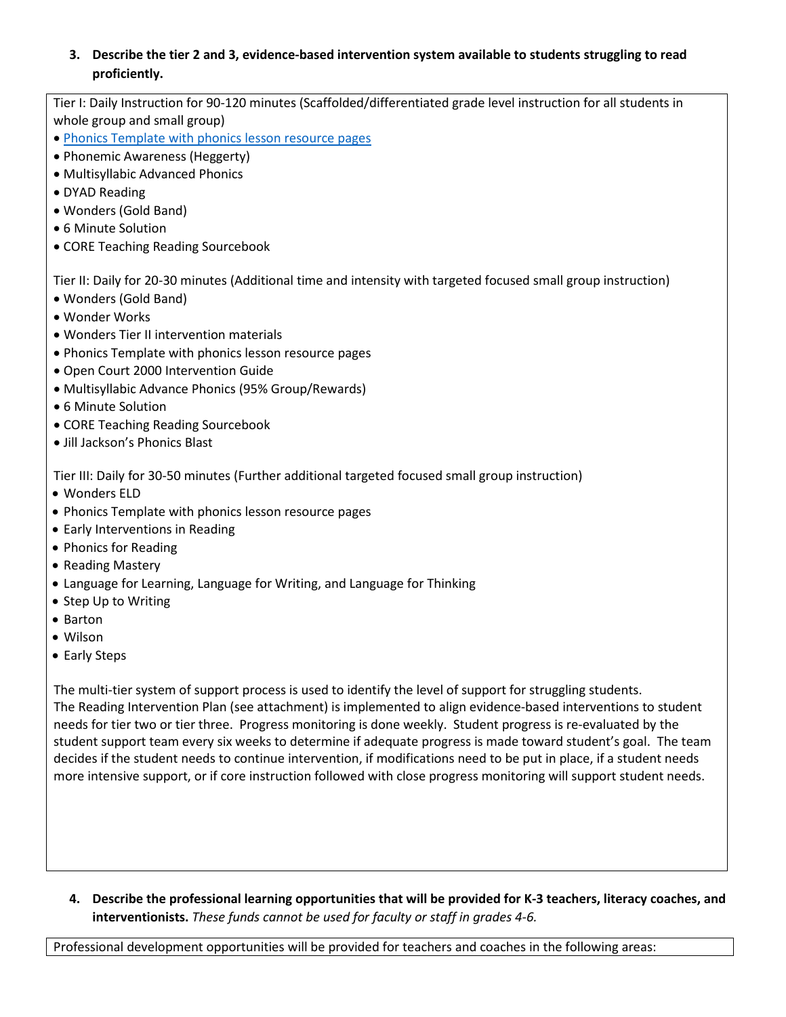#### **3. Describe the tier 2 and 3, evidence-based intervention system available to students struggling to read proficiently.**

Tier I: Daily Instruction for 90-120 minutes (Scaffolded/differentiated grade level instruction for all students in whole group and small group)

- Phonics Template with phonics lesson resource pages
- Phonemic Awareness (Heggerty)
- Multisyllabic Advanced Phonics
- DYAD Reading
- Wonders (Gold Band)
- 6 Minute Solution
- CORE Teaching Reading Sourcebook

Tier II: Daily for 20-30 minutes (Additional time and intensity with targeted focused small group instruction)

- Wonders (Gold Band)
- Wonder Works
- Wonders Tier II intervention materials
- Phonics Template with phonics lesson resource pages
- Open Court 2000 Intervention Guide
- Multisyllabic Advance Phonics (95% Group/Rewards)
- 6 Minute Solution
- CORE Teaching Reading Sourcebook
- Jill Jackson's Phonics Blast

Tier III: Daily for 30-50 minutes (Further additional targeted focused small group instruction)

- Wonders ELD
- Phonics Template with phonics lesson resource pages
- Early Interventions in Reading
- Phonics for Reading
- Reading Mastery
- Language for Learning, Language for Writing, and Language for Thinking
- Step Up to Writing
- Barton
- Wilson
- Early Steps

The multi-tier system of support process is used to identify the level of support for struggling students. The Reading Intervention Plan (see attachment) is implemented to align evidence-based interventions to student needs for tier two or tier three. Progress monitoring is done weekly. Student progress is re-evaluated by the student support team every six weeks to determine if adequate progress is made toward student's goal. The team decides if the student needs to continue intervention, if modifications need to be put in place, if a student needs more intensive support, or if core instruction followed with close progress monitoring will support student needs.

**4. Describe the professional learning opportunities that will be provided for K-3 teachers, literacy coaches, and interventionists.** *These funds cannot be used for faculty or staff in grades 4-6.*

Professional development opportunities will be provided for teachers and coaches in the following areas: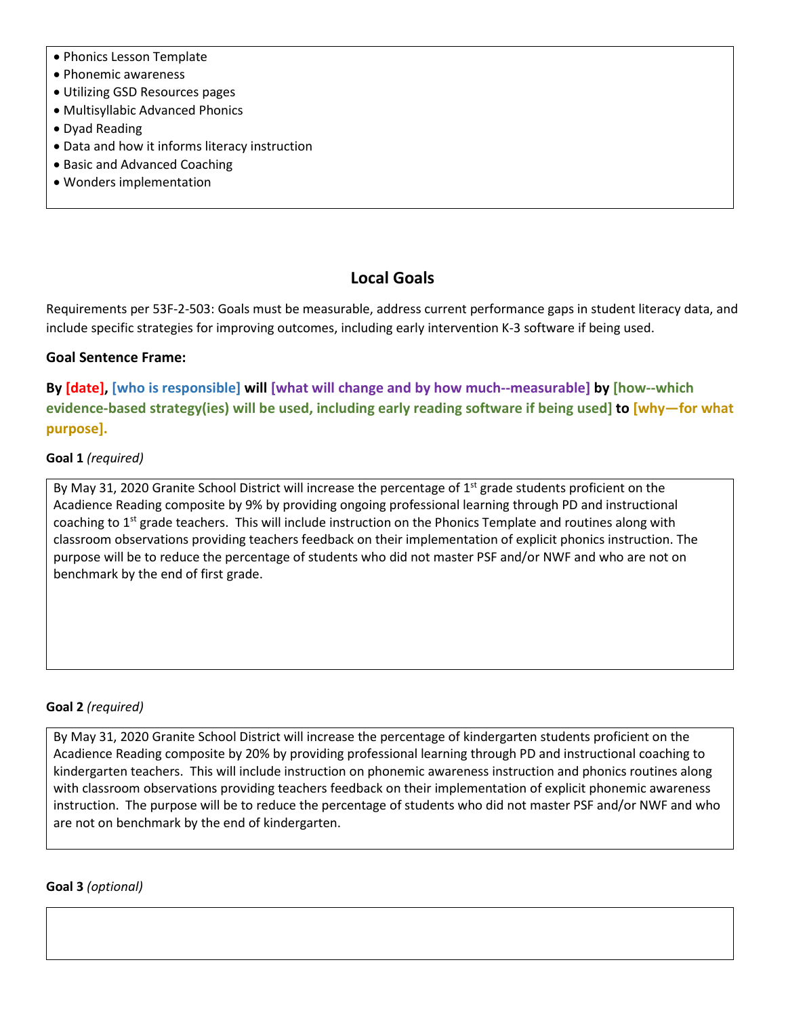- Phonics Lesson Template
- Phonemic awareness
- Utilizing GSD Resources pages
- Multisyllabic Advanced Phonics
- Dyad Reading
- Data and how it informs literacy instruction
- Basic and Advanced Coaching
- Wonders implementation

### **Local Goals**

Requirements per 53F-2-503: Goals must be measurable, address current performance gaps in student literacy data, and include specific strategies for improving outcomes, including early intervention K-3 software if being used.

#### **Goal Sentence Frame:**

**By [date], [who is responsible] will [what will change and by how much--measurable] by [how--which evidence-based strategy(ies) will be used, including early reading software if being used] to [why—for what purpose].**

#### **Goal 1** *(required)*

By May 31, 2020 Granite School District will increase the percentage of 1<sup>st</sup> grade students proficient on the Acadience Reading composite by 9% by providing ongoing professional learning through PD and instructional coaching to 1<sup>st</sup> grade teachers. This will include instruction on the Phonics Template and routines along with classroom observations providing teachers feedback on their implementation of explicit phonics instruction. The purpose will be to reduce the percentage of students who did not master PSF and/or NWF and who are not on benchmark by the end of first grade.

#### **Goal 2** *(required)*

By May 31, 2020 Granite School District will increase the percentage of kindergarten students proficient on the Acadience Reading composite by 20% by providing professional learning through PD and instructional coaching to kindergarten teachers. This will include instruction on phonemic awareness instruction and phonics routines along with classroom observations providing teachers feedback on their implementation of explicit phonemic awareness instruction. The purpose will be to reduce the percentage of students who did not master PSF and/or NWF and who are not on benchmark by the end of kindergarten.

#### **Goal 3** *(optional)*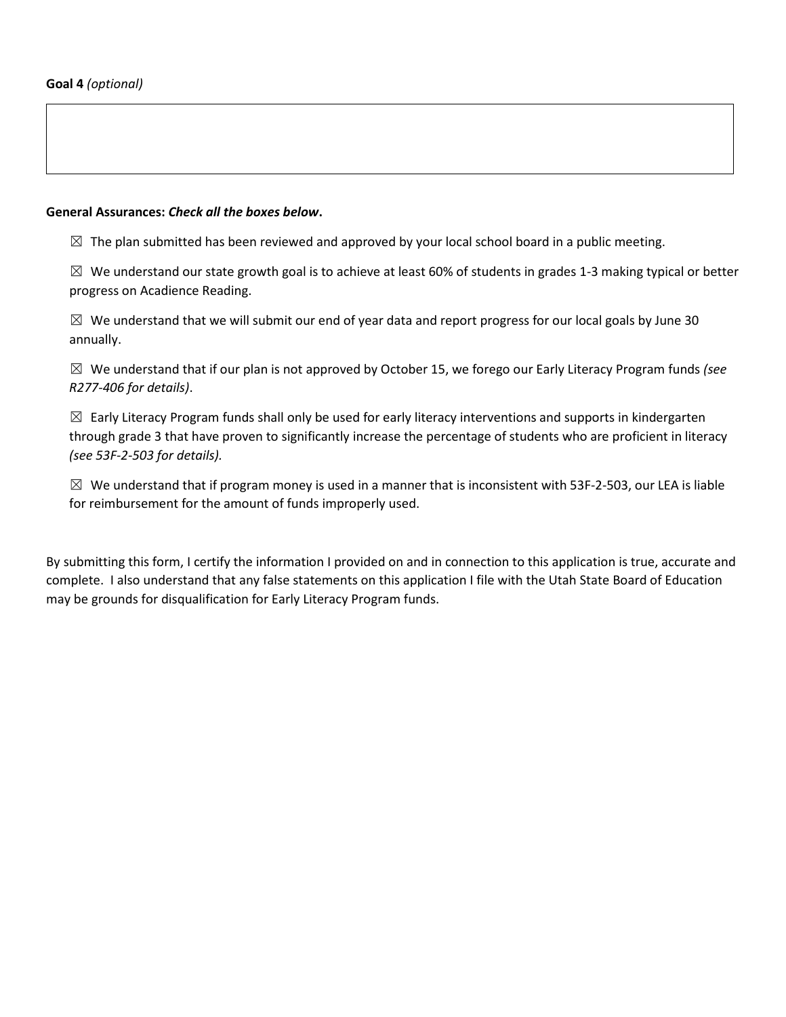#### **General Assurances:** *Check all the boxes below***.**

 $\boxtimes$  The plan submitted has been reviewed and approved by your local school board in a public meeting.

 $\boxtimes$  We understand our state growth goal is to achieve at least 60% of students in grades 1-3 making typical or better progress on Acadience Reading.

 $\boxtimes$  We understand that we will submit our end of year data and report progress for our local goals by June 30 annually.

☒ We understand that if our plan is not approved by October 15, we forego our Early Literacy Program funds *(see R277-406 for details)*.

 $\boxtimes$  Early Literacy Program funds shall only be used for early literacy interventions and supports in kindergarten through grade 3 that have proven to significantly increase the percentage of students who are proficient in literacy *(see 53F-2-503 for details).*

 $\boxtimes$  We understand that if program money is used in a manner that is inconsistent with 53F-2-503, our LEA is liable for reimbursement for the amount of funds improperly used.

By submitting this form, I certify the information I provided on and in connection to this application is true, accurate and complete. I also understand that any false statements on this application I file with the Utah State Board of Education may be grounds for disqualification for Early Literacy Program funds.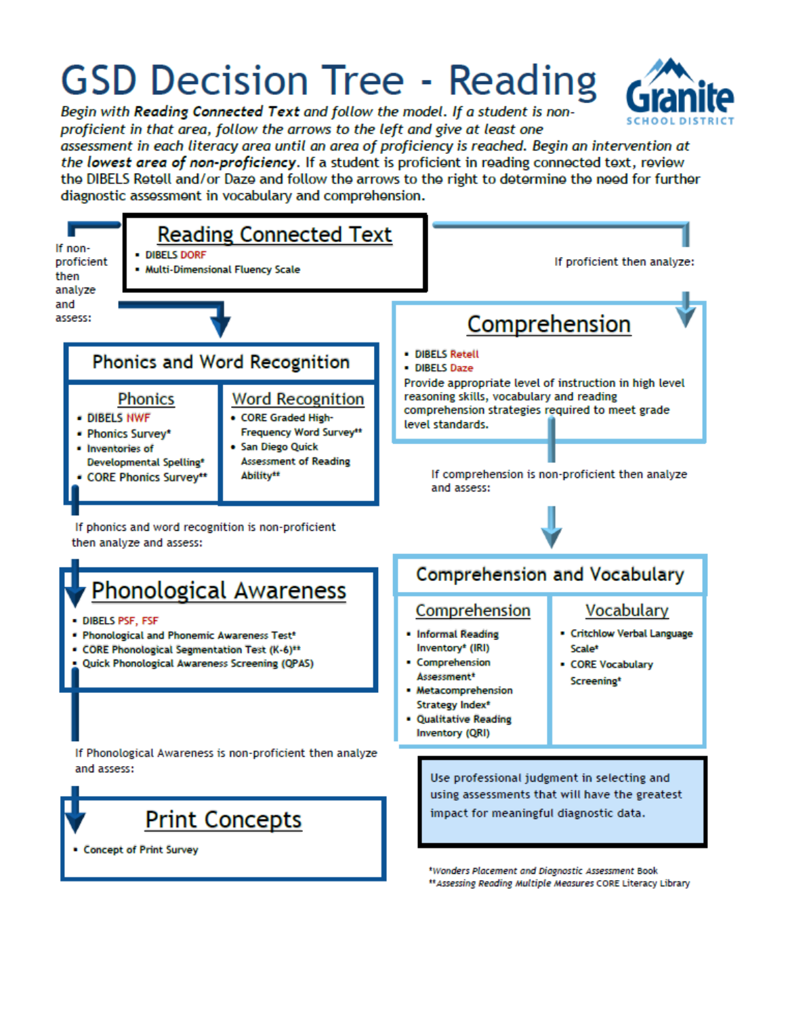# **GSD Decision Tree - Reading**

Begin with Reading Connected Text and follow the model. If a student is nonproficient in that area, follow the arrows to the left and give at least one

assessment in each literacy area until an area of proficiency is reached. Begin an intervention at the lowest area of non-proficiency. If a student is proficient in reading connected text, review the DIBELS Retell and/or Daze and follow the arrows to the right to determine the need for further diagnostic assessment in vocabulary and comprehension.

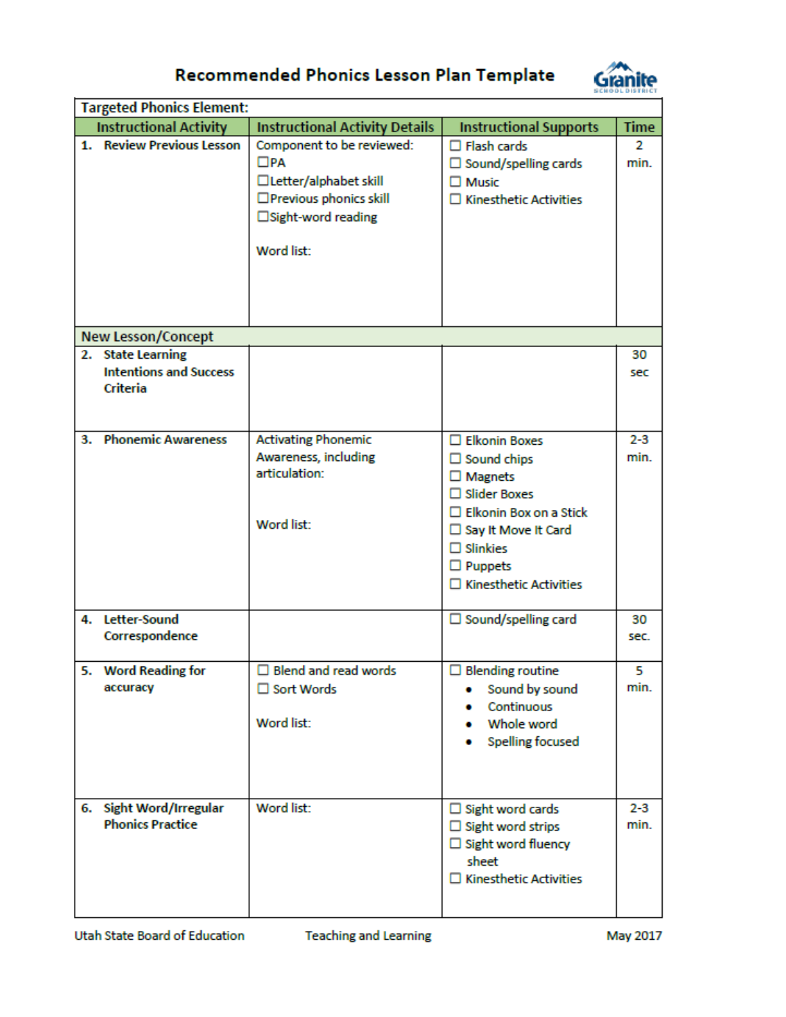

# Recommended Phonics Lesson Plan Template

| <b>Targeted Phonics Element:</b>                               |                                                                                                                                       |                                                                                                                                                                                                                                 |                 |  |
|----------------------------------------------------------------|---------------------------------------------------------------------------------------------------------------------------------------|---------------------------------------------------------------------------------------------------------------------------------------------------------------------------------------------------------------------------------|-----------------|--|
| <b>Instructional Activity</b>                                  | <b>Instructional Activity Details</b>                                                                                                 | <b>Instructional Supports</b>                                                                                                                                                                                                   | <b>Time</b>     |  |
| 1. Review Previous Lesson                                      | Component to be reviewed:<br>$\square$ PA<br>□ Letter/alphabet skill<br>□ Previous phonics skill<br>□Sight-word reading<br>Word list: | $\Box$ Flash cards<br>$\Box$ Sound/spelling cards<br>$\square$ Music<br>$\square$ Kinesthetic Activities                                                                                                                        | 2<br>min.       |  |
| <b>New Lesson/Concept</b>                                      |                                                                                                                                       |                                                                                                                                                                                                                                 |                 |  |
| 2. State Learning<br><b>Intentions and Success</b><br>Criteria |                                                                                                                                       |                                                                                                                                                                                                                                 | 30<br>sec       |  |
| 3. Phonemic Awareness                                          | <b>Activating Phonemic</b><br>Awareness, including<br>articulation:<br>Word list:                                                     | □ Elkonin Boxes<br>$\Box$ Sound chips<br>$\square$ Magnets<br>$\square$ Slider Boxes<br>$\Box$ Elkonin Box on a Stick<br>$\Box$ Say It Move It Card<br>$\square$ Slinkies<br>$\Box$ Puppets<br>$\square$ Kinesthetic Activities | $2 - 3$<br>min. |  |
| 4. Letter-Sound<br>Correspondence                              |                                                                                                                                       | $\Box$ Sound/spelling card                                                                                                                                                                                                      | 30<br>sec.      |  |
| 5. Word Reading for<br>accuracy                                | $\Box$ Blend and read words<br>□ Sort Words<br>Word list:                                                                             | $\Box$ Blending routine<br>Sound by sound<br>۰<br>Continuous<br>Whole word<br><b>Spelling focused</b>                                                                                                                           | 5<br>min.       |  |
| 6. Sight Word/Irregular<br><b>Phonics Practice</b>             | Word list:                                                                                                                            | $\Box$ Sight word cards<br>$\Box$ Sight word strips<br>$\Box$ Sight word fluency<br>sheet<br>$\square$ Kinesthetic Activities                                                                                                   | $2 - 3$<br>min. |  |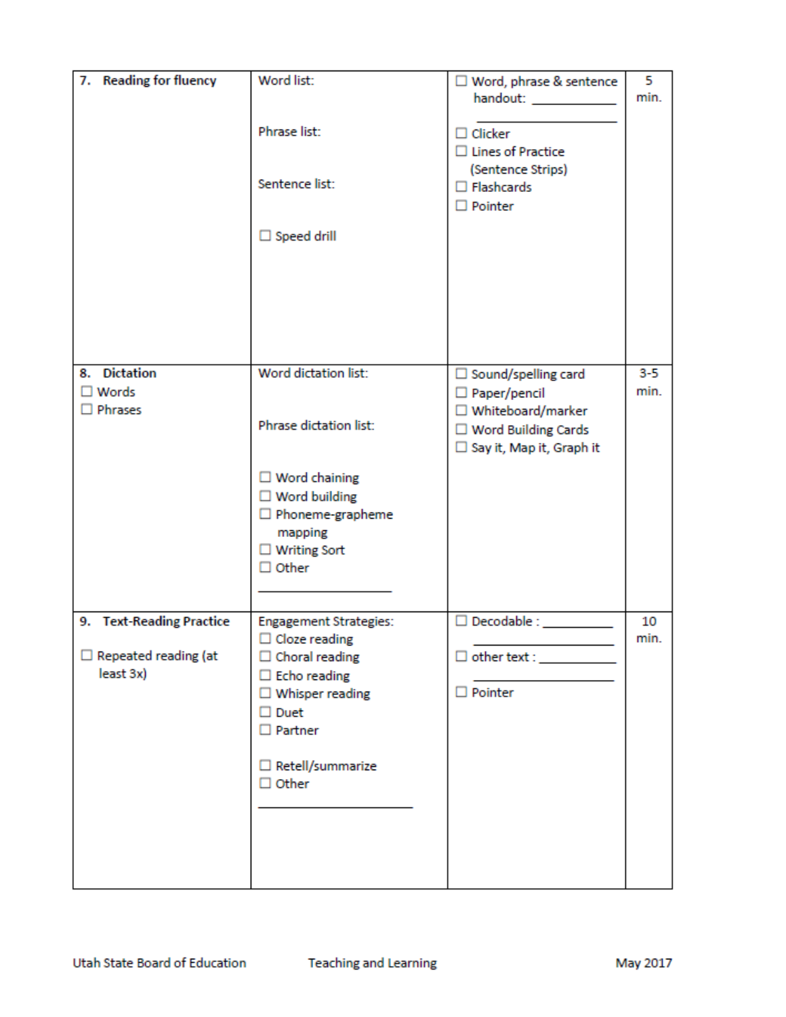| 7. Reading for fluency                                               | Word list:                                                                                                                                                                | □ Word, phrase & sentence<br>handout: and the state of the state of the state of the state of the state of the state of the state of the state of the state of the state of the state of the state of the state of the state of the state of the state of t | 5<br>min.       |
|----------------------------------------------------------------------|---------------------------------------------------------------------------------------------------------------------------------------------------------------------------|-------------------------------------------------------------------------------------------------------------------------------------------------------------------------------------------------------------------------------------------------------------|-----------------|
|                                                                      | Phrase list:                                                                                                                                                              | $\Box$ Clicker<br>$\Box$ Lines of Practice                                                                                                                                                                                                                  |                 |
|                                                                      | Sentence list:                                                                                                                                                            | (Sentence Strips)<br>$\Box$ Flashcards<br>$\Box$ Pointer                                                                                                                                                                                                    |                 |
|                                                                      | $\Box$ Speed drill                                                                                                                                                        |                                                                                                                                                                                                                                                             |                 |
|                                                                      |                                                                                                                                                                           |                                                                                                                                                                                                                                                             |                 |
|                                                                      |                                                                                                                                                                           |                                                                                                                                                                                                                                                             |                 |
| 8. Dictation<br>$\square$ Words<br>$\square$ Phrases                 | Word dictation list:                                                                                                                                                      | $\Box$ Sound/spelling card<br>$\Box$ Paper/pencil<br>□ Whiteboard/marker                                                                                                                                                                                    | $3 - 5$<br>min. |
|                                                                      | Phrase dictation list:                                                                                                                                                    | $\Box$ Word Building Cards<br>□ Say it, Map it, Graph it                                                                                                                                                                                                    |                 |
|                                                                      | $\Box$ Word chaining<br>$\Box$ Word building<br>$\Box$ Phoneme-grapheme<br>mapping<br>$\Box$ Writing Sort<br>$\Box$ Other                                                 |                                                                                                                                                                                                                                                             |                 |
|                                                                      |                                                                                                                                                                           |                                                                                                                                                                                                                                                             |                 |
| 9. Text-Reading Practice<br>$\Box$ Repeated reading (at<br>least 3x) | <b>Engagement Strategies:</b><br>$\Box$ Cloze reading<br>$\Box$ Choral reading<br>$\Box$ Echo reading<br>$\square$ Whisper reading<br>$\square$ Duet<br>$\square$ Partner | $\square$ Decodable :<br>$\Box$ Pointer                                                                                                                                                                                                                     | 10<br>min.      |
|                                                                      | □ Retell/summarize<br>$\Box$ Other                                                                                                                                        |                                                                                                                                                                                                                                                             |                 |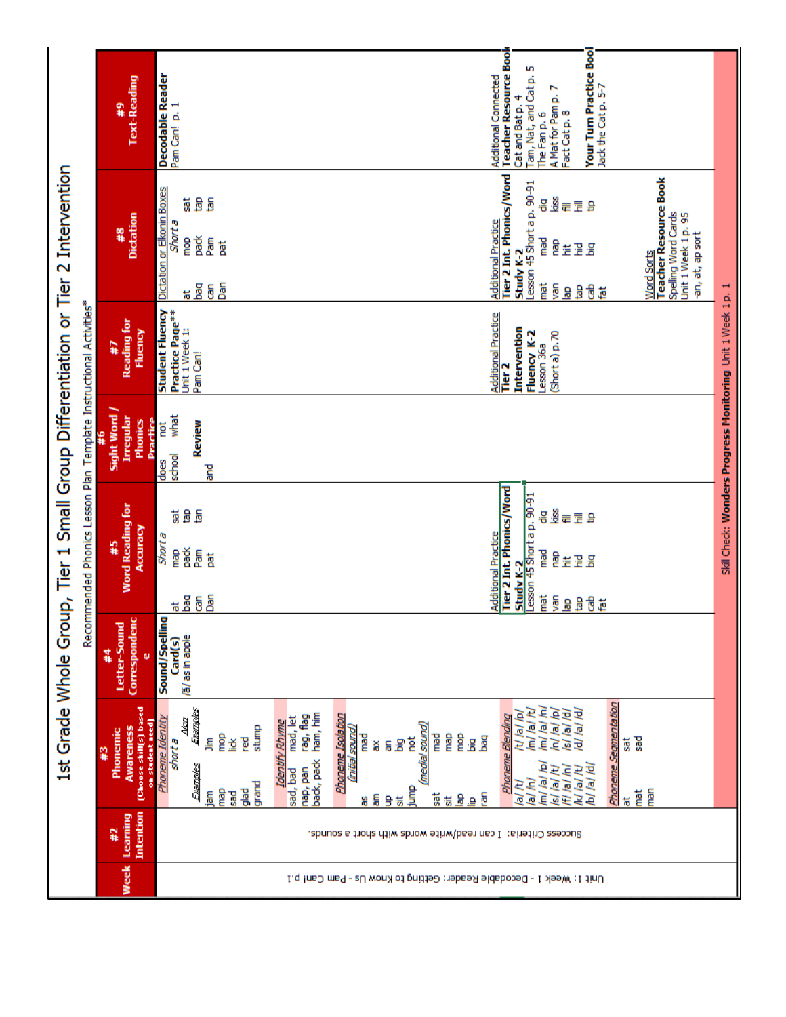|                                                                                                                                                        |                                                                           | S                                                                                                                                                                                                                                                                                                                            |                                                            |
|--------------------------------------------------------------------------------------------------------------------------------------------------------|---------------------------------------------------------------------------|------------------------------------------------------------------------------------------------------------------------------------------------------------------------------------------------------------------------------------------------------------------------------------------------------------------------------|------------------------------------------------------------|
|                                                                                                                                                        | Text-Reading<br>2#                                                        | Additional Connected<br>Teacher Resource Book<br>Your Turn Practice Boo<br><b>Decodable Reader</b><br>Tam, Nat, and Cat p.<br>The Fan p. 6<br>Jack the Cat p. 5-7<br>A Mat for Pam p. 7<br>Fact Cat p. 8<br>Pam Can! p. 1<br>Cat and Bat p.                                                                                  |                                                            |
|                                                                                                                                                        |                                                                           | kiss<br>g<br>區<br><b>Sat</b><br>몽<br>日本<br>Œ                                                                                                                                                                                                                                                                                 |                                                            |
|                                                                                                                                                        | <b>Dictation</b><br>#8                                                    | Tier 2 Int. Phonics/Word<br><b>Teacher Resource Book</b><br>Lesson 45 Short a p. 90-91<br>Dictation or Elkonin Boxes<br>Spelling Word Cards<br>Unit 1 Week 1p. 95<br><b>Additional Practice</b><br>Shorta<br>-an, at, ap sort<br>pack<br>Pam<br>gom<br>mad<br>e<br>Gori<br>ă<br>꽇<br>ا<br>آه<br>ž<br>Study K-2<br>Word Sorts |                                                            |
|                                                                                                                                                        |                                                                           | Dan<br>mat<br>yan<br>ts Ba<br>ඕ<br>音声<br>å<br>윤                                                                                                                                                                                                                                                                              |                                                            |
|                                                                                                                                                        | <b>Reading for</b><br>Fluency<br>7#                                       | <b>Student Fluency</b><br>Practice Page <sup>**</sup><br><b>Additional Practice</b><br>Intervention<br>Unit 1 Week 1:<br>Fluency K-2<br>Shorta) p.70                                                                                                                                                                         |                                                            |
|                                                                                                                                                        |                                                                           | Lesson 36a<br>Pam Can!<br>n<br>E                                                                                                                                                                                                                                                                                             |                                                            |
| 1st Grade Whole Group, Tier 1 Small Group Differentiation or Tier 2 Intervention<br>Recommended Phonics Lesson Plan Template Instructional Activities* | Sight Word<br>Irregular<br>Phonics<br>Practice                            | what<br>Review<br>not<br>school                                                                                                                                                                                                                                                                                              | Skill Check: Wonders Progress Monitoring Unit 1 Week 1p. 1 |
|                                                                                                                                                        |                                                                           | does<br>ਵ                                                                                                                                                                                                                                                                                                                    |                                                            |
|                                                                                                                                                        |                                                                           | kiss<br>9<br>ã<br><b>Sat</b><br>믕<br>e E<br>Œ                                                                                                                                                                                                                                                                                |                                                            |
|                                                                                                                                                        | <b>Word Reading for</b><br>Accuracy<br>45                                 | <b>Short a</b><br>pack<br>Pam<br><b>Gem</b><br>mad<br>a<br>ă<br>温温<br>Ë                                                                                                                                                                                                                                                      |                                                            |
|                                                                                                                                                        |                                                                           | <u>Additional Practice<br/>Tier 2 Int. Phonics/Word</u><br>Lesson 45 Short a p. 90-91<br>Study K-2<br>bān<br>īmat<br><u># 8</u> 6<br>yan<br>a<br>B<br>音量<br>$\frac{8}{5}$                                                                                                                                                    |                                                            |
|                                                                                                                                                        |                                                                           |                                                                                                                                                                                                                                                                                                                              |                                                            |
|                                                                                                                                                        | Correspondenc<br>Letter-Sound<br>꼮<br>Φ                                   | Sound/Spelling<br>/ã/ as in apple<br>Card(s)                                                                                                                                                                                                                                                                                 |                                                            |
|                                                                                                                                                        |                                                                           | Evanges<br>(m/ <i>l</i> a//m<br>/m/ /a/ /t/<br>hı lal lol<br>Isl lal ldl<br>/d/ /a/ /d<br>/t/ /a/ /p/<br>ham, him<br>rag, flag<br>mad, let<br>$\frac{1}{2}$                                                                                                                                                                  |                                                            |
|                                                                                                                                                        | (Choose skill(s) based<br>on student need)<br>Awareness<br>Phonemic<br>43 | Phoneme Isolation<br>Phoneme Blending<br>Phoneme Identity<br><b>Identify Rhyme</b><br>(medial sound)<br>stump<br>(initial sound)<br>mop<br>gew<br>e<br>Gom<br>mad<br>mad<br>bag<br>ĕ<br>쥩<br><b>Pes</b><br>륗<br>Ξ<br>shorta<br>ā<br>₫<br>Эğ<br>ă<br>등                                                                        |                                                            |
|                                                                                                                                                        |                                                                           | Phoneme Segmentation<br>back, pack<br>Evanges<br>ē<br>b/ /a/ /d/<br>/f/ /a/ /n/<br>/k/ /a/ /t/<br>nap, pan<br>la/ la/ lu<br>sad, bad<br>/m//a/<br>/a/ /n/<br>grand<br>/a//t/<br>昌<br><b>Gew</b><br>꾫<br>man<br>匾<br>ĭ<br><b>Sad</b><br>ä<br><u>a</u><br>ē<br>듦<br>g<br>端<br>责<br>횰<br>8<br>苊                                 |                                                            |
|                                                                                                                                                        | Intention<br>Learning<br>유                                                | sbocess Criteria: I can read/write words with short a sounds.                                                                                                                                                                                                                                                                |                                                            |
|                                                                                                                                                        | Week                                                                      | Unit 1: Week 1 - Decodable Reader: Getiting to Know Us - Pam Can! p.1                                                                                                                                                                                                                                                        |                                                            |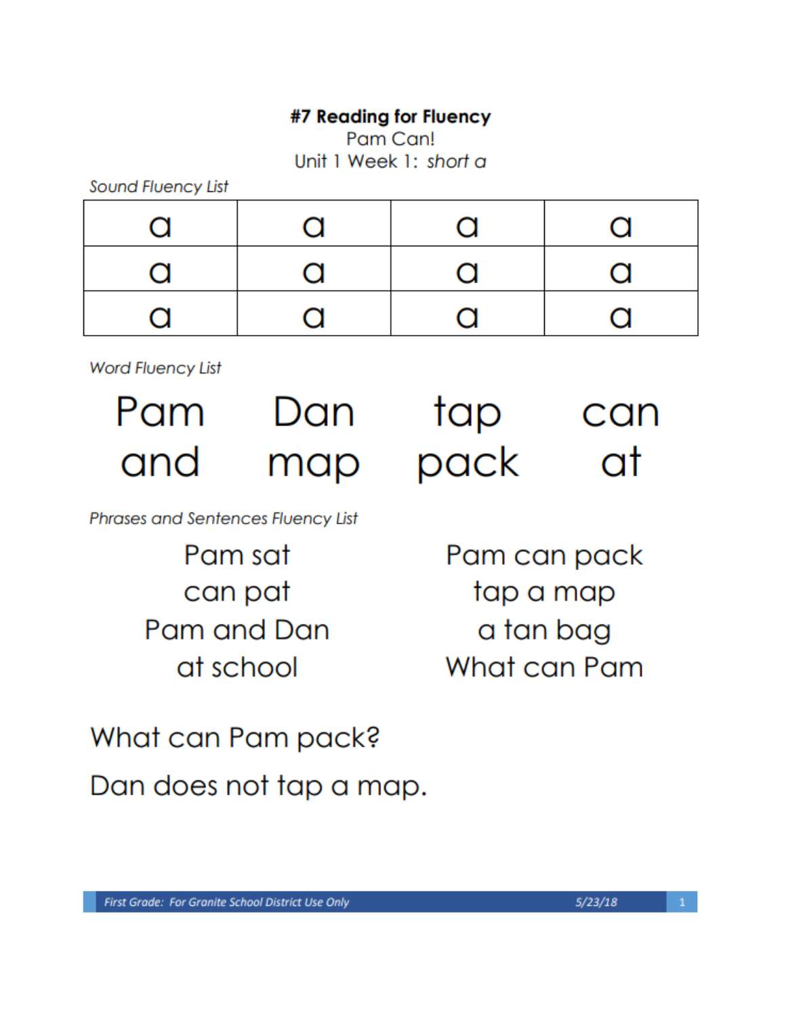# #7 Reading for Fluency

Pam Can!

Unit 1 Week 1: short a

Sound Fluency List

| $\alpha$ | $\alpha$ | $\Omega$     | O            |
|----------|----------|--------------|--------------|
| $\Omega$ | $\Omega$ | $\Omega$     | $\Omega$     |
| $\Omega$ | $\Omega$ | $\mathbf{C}$ | $\mathbf{C}$ |

**Word Fluency List** 

Pam Dan and

map

tap can pack - at

Phrases and Sentences Fluency List

Pam sat can pat Pam and Dan at school

Pam can pack tap a map a tan bag What can Pam

What can Pam pack? Dan does not tap a map.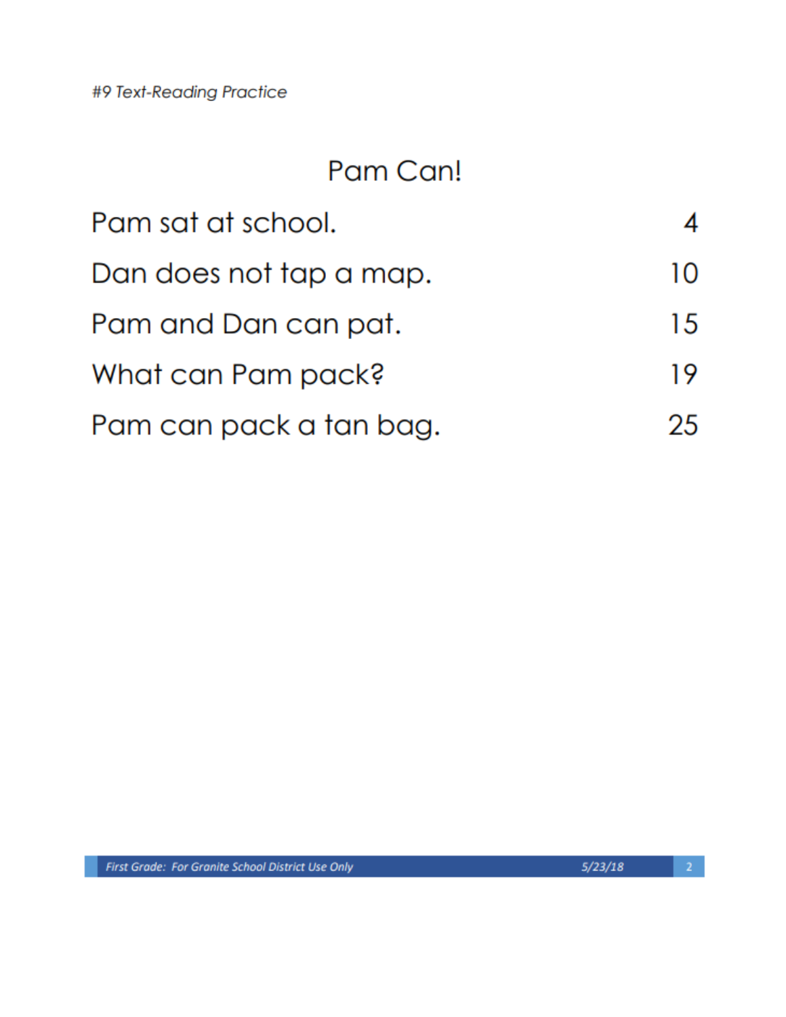#9 Text-Reading Practice

# Pam Can!

| Pam sat at school.      |     |
|-------------------------|-----|
| Dan does not tap a map. | 10  |
| Pam and Dan can pat.    | 15  |
| What can Pam pack?      | 19. |
| Pam can pack a tan bag. | 25  |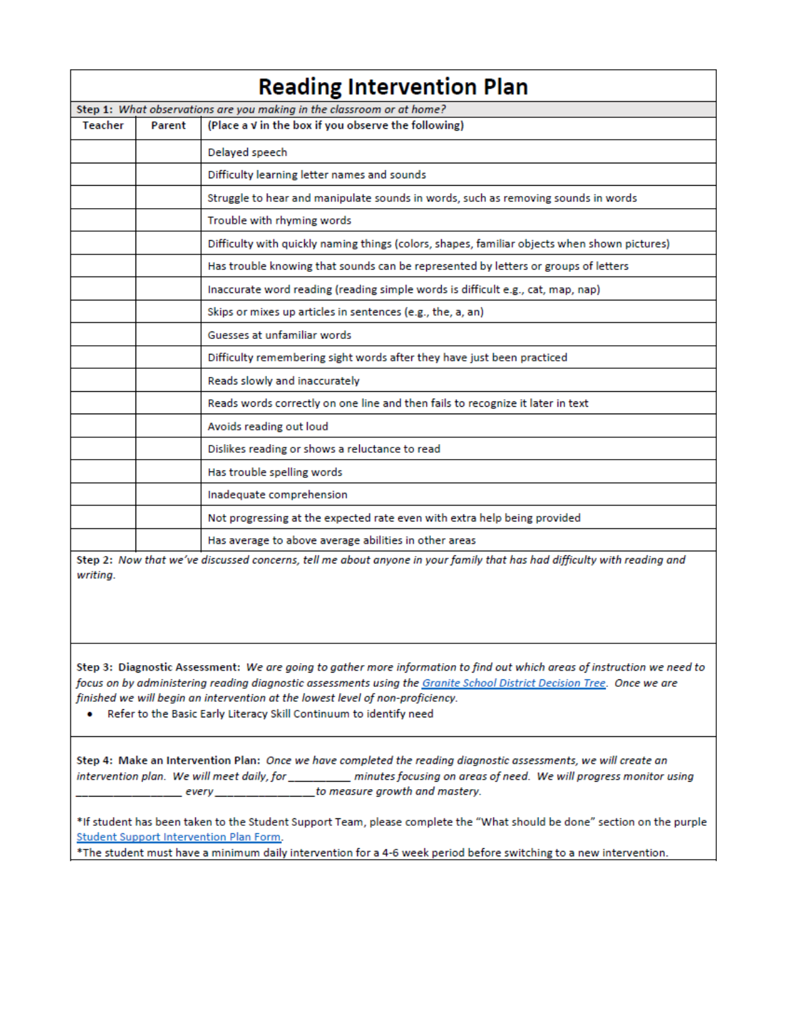| <b>Reading Intervention Plan</b> |        |                                                                                              |  |  |
|----------------------------------|--------|----------------------------------------------------------------------------------------------|--|--|
|                                  |        | Step 1: What observations are you making in the classroom or at home?                        |  |  |
| Teacher                          | Parent | (Place a V in the box if you observe the following)                                          |  |  |
|                                  |        | Delayed speech                                                                               |  |  |
|                                  |        | Difficulty learning letter names and sounds                                                  |  |  |
|                                  |        | Struggle to hear and manipulate sounds in words, such as removing sounds in words            |  |  |
|                                  |        | Trouble with rhyming words                                                                   |  |  |
|                                  |        | Difficulty with quickly naming things (colors, shapes, familiar objects when shown pictures) |  |  |
|                                  |        | Has trouble knowing that sounds can be represented by letters or groups of letters           |  |  |
|                                  |        | Inaccurate word reading (reading simple words is difficult e.g., cat, map, nap)              |  |  |
|                                  |        | Skips or mixes up articles in sentences (e.g., the, a, an)                                   |  |  |
|                                  |        | Guesses at unfamiliar words                                                                  |  |  |
|                                  |        | Difficulty remembering sight words after they have just been practiced                       |  |  |
|                                  |        | Reads slowly and inaccurately                                                                |  |  |
|                                  |        | Reads words correctly on one line and then fails to recognize it later in text               |  |  |
|                                  |        | Avoids reading out loud                                                                      |  |  |
|                                  |        | Dislikes reading or shows a reluctance to read                                               |  |  |
|                                  |        | Has trouble spelling words                                                                   |  |  |
|                                  |        | Inadequate comprehension                                                                     |  |  |
|                                  |        | Not progressing at the expected rate even with extra help being provided                     |  |  |
|                                  |        | Has average to above average abilities in other areas                                        |  |  |
|                                  |        |                                                                                              |  |  |

Step 2: Now that we've discussed concerns, tell me about anyone in your family that has had difficulty with reading and writing.

Step 3: Diagnostic Assessment: We are going to gather more information to find out which areas of instruction we need to focus on by administering reading diagnostic assessments using the Granite School District Decision Tree. Once we are finished we will begin an intervention at the lowest level of non-proficiency.

. Refer to the Basic Early Literacy Skill Continuum to identify need

Step 4: Make an Intervention Plan: Once we have completed the reading diagnostic assessments, we will create an intervention plan. We will meet daily, for \_\_\_\_\_\_\_\_\_ minutes focusing on areas of need. We will progress monitor using \_\_\_\_\_\_\_\_ every \_\_\_\_\_\_\_\_\_\_\_\_\_\_\_\_\_ to measure growth and mastery.

\*If student has been taken to the Student Support Team, please complete the "What should be done" section on the purple Student Support Intervention Plan Form.

\*The student must have a minimum daily intervention for a 4-6 week period before switching to a new intervention.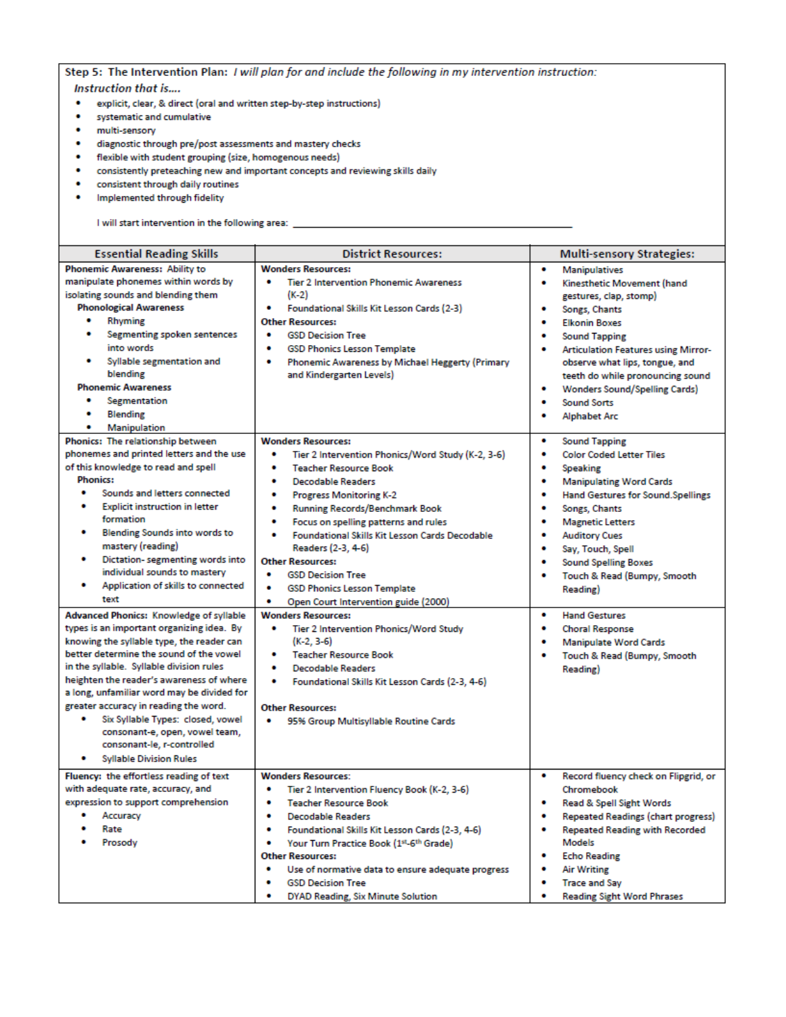Step 5: The Intervention Plan: I will plan for and include the following in my intervention instruction: **Instruction that is....** 

- explicit, clear, & direct (oral and written step-by-step instructions)
- · systematic and cumulative
- · multi-sensory
- · diagnostic through pre/post assessments and mastery checks
- flexible with student grouping (size, homogenous needs)
- consistently preteaching new and important concepts and reviewing skills daily
- consistent through daily routines
- Implemented through fidelity

I will start intervention in the following area:

| <b>Essential Reading Skills</b>                | <b>District Resources:</b>                                 |                                                 |
|------------------------------------------------|------------------------------------------------------------|-------------------------------------------------|
|                                                |                                                            | <b>Multi-sensory Strategies:</b>                |
| Phonemic Awareness: Ability to                 | <b>Wonders Resources:</b>                                  | ۰<br><b>Manipulatives</b>                       |
| manipulate phonemes within words by            | ٠<br><b>Tier 2 Intervention Phonemic Awareness</b>         | Kinesthetic Movement (hand<br>٠                 |
| isolating sounds and blending them             | $(K-2)$                                                    | gestures, clap, stomp)                          |
| <b>Phonological Awareness</b><br>۰             | ۰<br>Foundational Skills Kit Lesson Cards (2-3)            | ۰<br>Songs, Chants                              |
| Rhyming<br>۰                                   | <b>Other Resources:</b>                                    | <b>Elkonin Boxes</b><br>٠                       |
| Segmenting spoken sentences                    | ٠<br><b>GSD Decision Tree</b>                              | ٠<br><b>Sound Tapping</b>                       |
| into words                                     | <b>GSD Phonics Lesson Template</b><br>٠                    | ٠<br><b>Articulation Features using Mirror-</b> |
| Syllable segmentation and                      | ۰<br>Phonemic Awareness by Michael Heggerty (Primary       | observe what lips, tongue, and                  |
| blending                                       | and Kindergarten Levels)                                   | teeth do while pronouncing sound                |
| <b>Phonemic Awareness</b><br>٠                 |                                                            | ٠<br><b>Wonders Sound/Spelling Cards)</b>       |
| Segmentation                                   |                                                            | ٠<br><b>Sound Sorts</b>                         |
| ٠<br><b>Blending</b>                           |                                                            | ٠<br><b>Alphabet Arc</b>                        |
| ٠<br><b>Manipulation</b>                       |                                                            |                                                 |
| Phonics: The relationship between              | <b>Wonders Resources:</b>                                  | ۰<br><b>Sound Tapping</b>                       |
| phonemes and printed letters and the use       | Tier 2 Intervention Phonics/Word Study (K-2, 3-6)          | <b>Color Coded Letter Tiles</b><br>۰            |
| of this knowledge to read and spell            | ٠<br><b>Teacher Resource Book</b>                          | ۰<br><b>Speaking</b>                            |
| <b>Phonics:</b>                                | <b>Decodable Readers</b><br>٠                              | <b>Manipulating Word Cards</b><br>۰             |
| ٠<br>Sounds and letters connected              | ٠<br>Progress Monitoring K-2                               | <b>Hand Gestures for Sound.Spellings</b><br>٠   |
| <b>Explicit instruction in letter</b><br>٠     | ٠<br><b>Running Records/Benchmark Book</b>                 | ۰<br>Songs, Chants                              |
| formation                                      | ٠<br>Focus on spelling patterns and rules                  | ٠<br><b>Magnetic Letters</b>                    |
| <b>Blending Sounds into words to</b>           | ٠<br><b>Foundational Skills Kit Lesson Cards Decodable</b> | ۰<br><b>Auditory Cues</b>                       |
| mastery (reading)                              | Readers (2-3, 4-6)                                         | ٠<br>Say, Touch, Spell                          |
| ٠<br>Dictation- segmenting words into          | <b>Other Resources:</b>                                    | ٠<br><b>Sound Spelling Boxes</b>                |
| individual sounds to mastery                   | ٠<br><b>GSD Decision Tree</b>                              | Touch & Read (Bumpy, Smooth<br>٠                |
| ٠<br>Application of skills to connected        | ٠<br><b>GSD Phonics Lesson Template</b>                    | Reading)                                        |
| text                                           | ۰<br>Open Court Intervention guide (2000)                  |                                                 |
| <b>Advanced Phonics: Knowledge of syllable</b> | <b>Wonders Resources:</b>                                  | ٠<br><b>Hand Gestures</b>                       |
| types is an important organizing idea. By      | ٠<br>Tier 2 Intervention Phonics/Word Study                | ٠<br><b>Choral Response</b>                     |
| knowing the syllable type, the reader can      | $(K-2, 3-6)$                                               | ۰<br><b>Manipulate Word Cards</b>               |
| better determine the sound of the vowel        | <b>Teacher Resource Book</b>                               | ۰<br>Touch & Read (Bumpy, Smooth                |
| in the syllable. Syllable division rules       | <b>Decodable Readers</b><br>٠                              | Reading)                                        |
| heighten the reader's awareness of where       | Foundational Skills Kit Lesson Cards (2-3, 4-6)<br>٠       |                                                 |
| a long, unfamiliar word may be divided for     |                                                            |                                                 |
| greater accuracy in reading the word.          | <b>Other Resources:</b>                                    |                                                 |
| ٠<br>Six Syllable Types: closed, vowel         | ۰<br>95% Group Multisyllable Routine Cards                 |                                                 |
| consonant-e, open, vowel team,                 |                                                            |                                                 |
| consonant-le, r-controlled                     |                                                            |                                                 |
| ٠<br><b>Syllable Division Rules</b>            |                                                            |                                                 |
| Fluency: the effortless reading of text        | <b>Wonders Resources:</b>                                  | ۰<br>Record fluency check on Flipgrid, or       |
| with adequate rate, accuracy, and              | ٠<br>Tier 2 Intervention Fluency Book (K-2, 3-6)           | Chromebook                                      |
| expression to support comprehension            | ۰<br><b>Teacher Resource Book</b>                          | ٠<br>Read & Spell Sight Words                   |
| Accuracy                                       | <b>Decodable Readers</b><br>٠                              | Repeated Readings (chart progress)<br>٠         |
| Rate                                           | ٠<br>Foundational Skills Kit Lesson Cards (2-3, 4-6)       | <b>Repeated Reading with Recorded</b><br>٠      |
| Prosody                                        | ۰<br>Your Turn Practice Book (1st-6th Grade)               | Models                                          |
|                                                | <b>Other Resources:</b>                                    | ٠<br><b>Echo Reading</b>                        |
|                                                | ٠<br>Use of normative data to ensure adequate progress     | <b>Air Writing</b><br>۰                         |
|                                                | ٠<br><b>GSD Decision Tree</b>                              | <b>Trace and Sav</b><br>۰                       |
|                                                | <b>DYAD Reading, Six Minute Solution</b>                   | <b>Reading Sight Word Phrases</b><br>٠          |